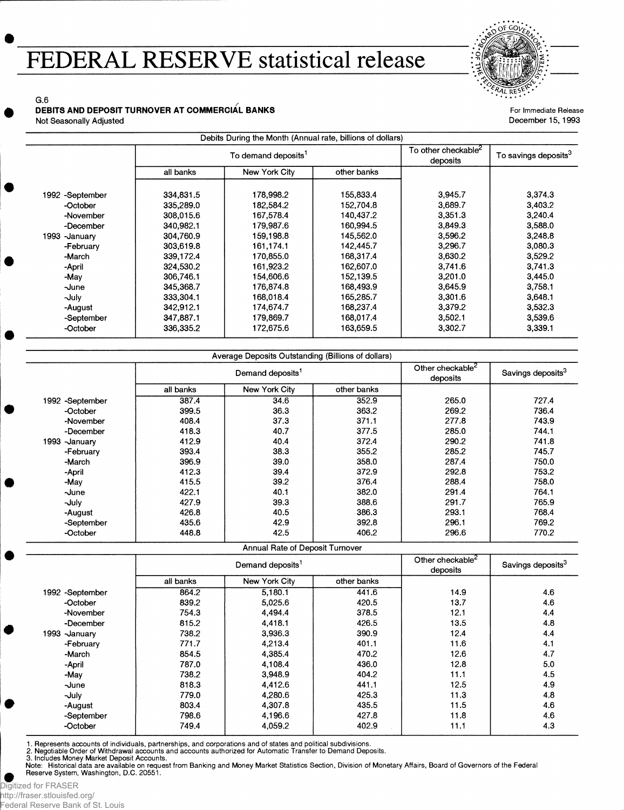*?\*AL \** \* \*

For Immediate Release December 15,1993

## G.6 **DEBITS AND DEPOSIT TURNOVER AT COMMERCIAL BANKS**

Not Seasonally Adjusted

|                 | To demand deposits <sup>1</sup> |               |             | To other checkable <sup>2</sup><br>deposits | To savings deposits <sup>3</sup> |
|-----------------|---------------------------------|---------------|-------------|---------------------------------------------|----------------------------------|
|                 | all banks                       | New York City | other banks |                                             |                                  |
| 1992 -September | 334,831.5                       | 178,998.2     | 155,833.4   | 3,945.7                                     | 3,374.3                          |
| -October        | 335,289.0                       | 182,584.2     | 152,704.8   | 3,689.7                                     | 3,403.2                          |
| -November       | 308,015.6                       | 167.578.4     | 140,437.2   | 3,351.3                                     | 3,240.4                          |
| -December       | 340,982.1                       | 179.987.6     | 160.994.5   | 3,849.3                                     | 3,588.0                          |
| 1993 - January  | 304.760.9                       | 159.198.8     | 145,562.0   | 3,596.2                                     | 3,248.8                          |
| -February       | 303,619.8                       | 161,174.1     | 142,445.7   | 3,296.7                                     | 3,080.3                          |
| -March          | 339,172.4                       | 170,855.0     | 168,317.4   | 3,630.2                                     | 3,529.2                          |
| -April          | 324,530.2                       | 161.923.2     | 162,607.0   | 3,741.6                                     | 3,741.3                          |
| -May            | 306.746.1                       | 154.606.6     | 152,139.5   | 3,201.0                                     | 3,445.0                          |
| -June           | 345,368.7                       | 176,874.8     | 168,493.9   | 3,645.9                                     | 3,758.1                          |
| -July           | 333,304.1                       | 168,018.4     | 165,285.7   | 3,301.6                                     | 3,648.1                          |
| -August         | 342,912.1                       | 174.674.7     | 168,237.4   | 3,379.2                                     | 3,532.3                          |
| -September      | 347,887.1                       | 179,869.7     | 168,017.4   | 3,502.1                                     | 3,539.6                          |
| -October        | 336,335.2                       | 172,675.6     | 163,659.5   | 3,302.7                                     | 3,339.1                          |

| Average Deposits Outstanding (Billions of dollars) |                              |               |             |                                          |                               |  |
|----------------------------------------------------|------------------------------|---------------|-------------|------------------------------------------|-------------------------------|--|
|                                                    | Demand deposits <sup>1</sup> |               |             | Other checkable <sup>2</sup><br>deposits | Savings deposits <sup>3</sup> |  |
|                                                    | all banks                    | New York City | other banks |                                          |                               |  |
| 1992 -September                                    | 387.4                        | 34.6          | 352.9       | 265.0                                    | 727.4                         |  |
| -October                                           | 399.5                        | 36.3          | 363.2       | 269.2                                    | 736.4                         |  |
| -November                                          | 408.4                        | 37.3          | 371.1       | 277.8                                    | 743.9                         |  |
| -December                                          | 418.3                        | 40.7          | 377.5       | 285.0                                    | 744.1                         |  |
| 1993.<br>⊸January                                  | 412.9                        | 40.4          | 372.4       | 290.2                                    | 741.8                         |  |
| -February                                          | 393.4                        | 38.3          | 355.2       | 285.2                                    | 745.7                         |  |
| -March                                             | 396.9                        | 39.0          | 358.0       | 287.4                                    | 750.0                         |  |
| -April                                             | 412.3                        | 39.4          | 372.9       | 292.8                                    | 753.2                         |  |
| -May                                               | 415.5                        | 39.2          | 376.4       | 288.4                                    | 758.0                         |  |
| <b>June</b>                                        | 422.1                        | 40.1          | 382.0       | 291.4                                    | 764.1                         |  |
| -July                                              | 427.9                        | 39.3          | 388.6       | 291.7                                    | 765.9                         |  |
| -August                                            | 426.8                        | 40.5          | 386.3       | 293.1                                    | 768.4                         |  |
| -September                                         | 435.6                        | 42.9          | 392.8       | 296.1                                    | 769.2                         |  |
| -October                                           | 448.8                        | 42.5          | 406.2       | 296.6                                    | 770.2                         |  |

### Annual Rate of Deposit Turnover

|                 | Demand deposits <sup>1</sup> |               |             | Other checkable <sup>2</sup><br>deposits | Savings deposits <sup>3</sup> |
|-----------------|------------------------------|---------------|-------------|------------------------------------------|-------------------------------|
|                 | all banks                    | New York City | other banks |                                          |                               |
| 1992 -September | 864.2                        | 5,180.1       | 441.6       | 14.9                                     | 4.6                           |
| -October        | 839.2                        | 5.025.6       | 420.5       | 13.7                                     | 4.6                           |
| -November       | 754.3                        | 4.494.4       | 378.5       | 12.1                                     | 4.4                           |
| -December       | 815.2                        | 4.418.1       | 426.5       | 13.5                                     | 4.8                           |
| 1993 - January  | 738.2                        | 3,936.3       | 390.9       | 12.4                                     | 4.4                           |
| -February       | 771.7                        | 4.213.4       | 401.1       | 11.6                                     | 4.1                           |
| -March          | 854.5                        | 4,385.4       | 470.2       | 12.6                                     | 4.7                           |
| -April          | 787.0                        | 4.108.4       | 436.0       | 12.8                                     | 5.0                           |
| -May            | 738.2                        | 3,948.9       | 404.2       | 11.1                                     | 4.5                           |
| -June           | 818.3                        | 4,412.6       | 441.1       | 12.5                                     | 4.9                           |
| -July           | 779.0                        | 4,280.6       | 425.3       | 11.3                                     | 4.8                           |
| -August         | 803.4                        | 4,307.8       | 435.5       | 11.5                                     | 4.6                           |
| -September      | 798.6                        | 4,196.6       | 427.8       | 11.8                                     | 4.6                           |
| -October        | 749.4                        | 4,059.2       | 402.9       | 11.1                                     | 4.3                           |

1. Represents accounts of individuals, partnerships, and corporations and of states and political subdivisions.<br>2. Negotiable Order of Withdrawal accounts and accounts authorized for Automatic Transfer to Demand Deposits.<br>